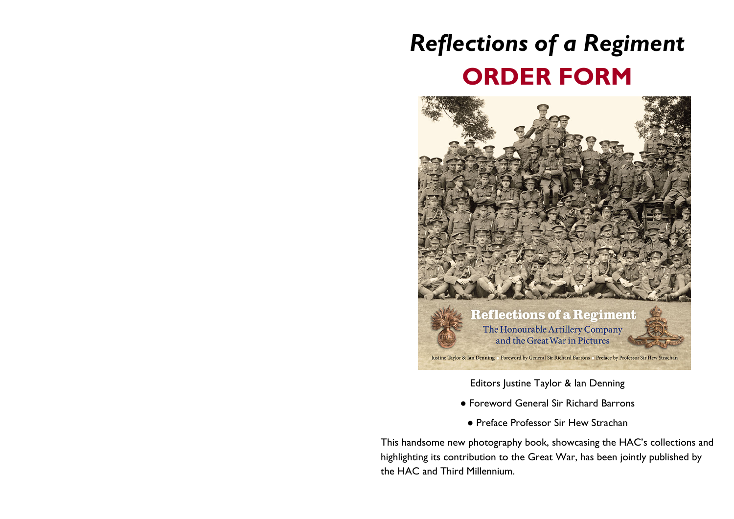## *Reflections of a Regiment* **ORDER FORM**



Editors Justine Taylor & Ian Denning

- Foreword General Sir Richard Barrons
- Preface Professor Sir Hew Strachan

This handsome new photography book, showcasing the HAC's collections and highlighting its contribution to the Great War, has been jointly published by the HAC and Third Millennium.